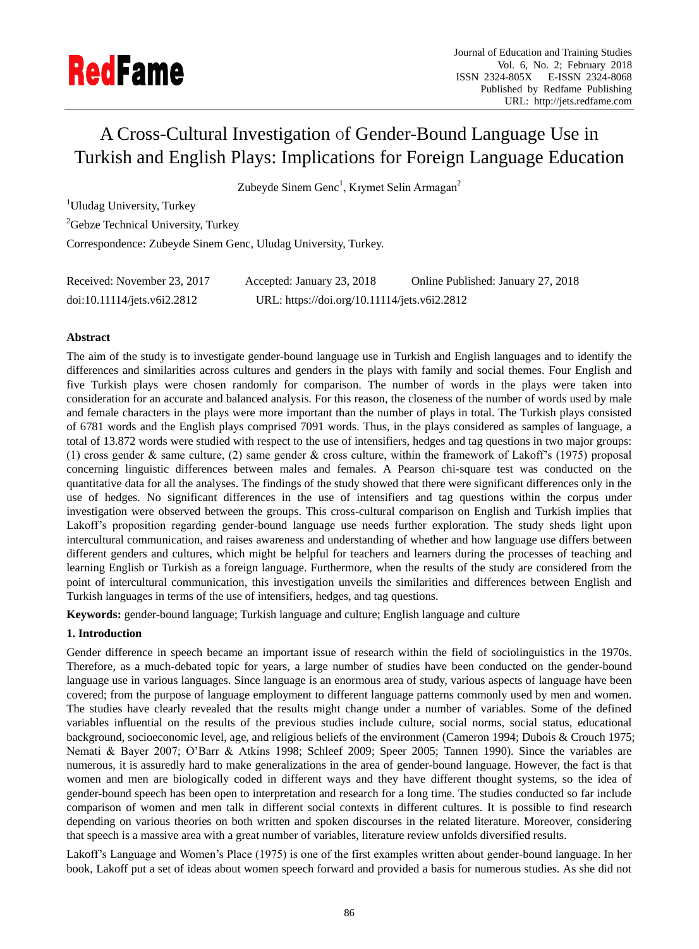# A Cross-Cultural Investigation of Gender-Bound Language Use in Turkish and English Plays: Implications for Foreign Language Education

Zubeyde Sinem Genc<sup>1</sup>, Kıymet Selin Armagan<sup>2</sup>

<sup>1</sup>Uludag University, Turkey

<sup>2</sup>Gebze Technical University, Turkey

Correspondence: Zubeyde Sinem Genc, Uludag University, Turkey.

| Received: November 23, 2017 | Accepted: January 23, 2018                   | Online Published: January 27, 2018 |
|-----------------------------|----------------------------------------------|------------------------------------|
| doi:10.11114/jets.v6i2.2812 | URL: https://doi.org/10.11114/jets.v6i2.2812 |                                    |

## **Abstract**

The aim of the study is to investigate gender-bound language use in Turkish and English languages and to identify the differences and similarities across cultures and genders in the plays with family and social themes. Four English and five Turkish plays were chosen randomly for comparison. The number of words in the plays were taken into consideration for an accurate and balanced analysis. For this reason, the closeness of the number of words used by male and female characters in the plays were more important than the number of plays in total. The Turkish plays consisted of 6781 words and the English plays comprised 7091 words. Thus, in the plays considered as samples of language, a total of 13.872 words were studied with respect to the use of intensifiers, hedges and tag questions in two major groups: (1) cross gender & same culture, (2) same gender & cross culture, within the framework of Lakoff"s (1975) proposal concerning linguistic differences between males and females. A Pearson chi-square test was conducted on the quantitative data for all the analyses. The findings of the study showed that there were significant differences only in the use of hedges. No significant differences in the use of intensifiers and tag questions within the corpus under investigation were observed between the groups. This cross-cultural comparison on English and Turkish implies that Lakoff"s proposition regarding gender-bound language use needs further exploration. The study sheds light upon intercultural communication, and raises awareness and understanding of whether and how language use differs between different genders and cultures, which might be helpful for teachers and learners during the processes of teaching and learning English or Turkish as a foreign language. Furthermore, when the results of the study are considered from the point of intercultural communication, this investigation unveils the similarities and differences between English and Turkish languages in terms of the use of intensifiers, hedges, and tag questions.

**Keywords:** gender-bound language; Turkish language and culture; English language and culture

## **1. Introduction**

Gender difference in speech became an important issue of research within the field of sociolinguistics in the 1970s. Therefore, as a much-debated topic for years, a large number of studies have been conducted on the gender-bound language use in various languages. Since language is an enormous area of study, various aspects of language have been covered; from the purpose of language employment to different language patterns commonly used by men and women. The studies have clearly revealed that the results might change under a number of variables. Some of the defined variables influential on the results of the previous studies include culture, social norms, social status, educational background, socioeconomic level, age, and religious beliefs of the environment (Cameron 1994; Dubois & Crouch 1975; Nemati & Bayer 2007; O"Barr & Atkins 1998; Schleef 2009; Speer 2005; Tannen 1990). Since the variables are numerous, it is assuredly hard to make generalizations in the area of gender-bound language. However, the fact is that women and men are biologically coded in different ways and they have different thought systems, so the idea of gender-bound speech has been open to interpretation and research for a long time. The studies conducted so far include comparison of women and men talk in different social contexts in different cultures. It is possible to find research depending on various theories on both written and spoken discourses in the related literature. Moreover, considering that speech is a massive area with a great number of variables, literature review unfolds diversified results.

Lakoff"s Language and Women"s Place (1975) is one of the first examples written about gender-bound language. In her book, Lakoff put a set of ideas about women speech forward and provided a basis for numerous studies. As she did not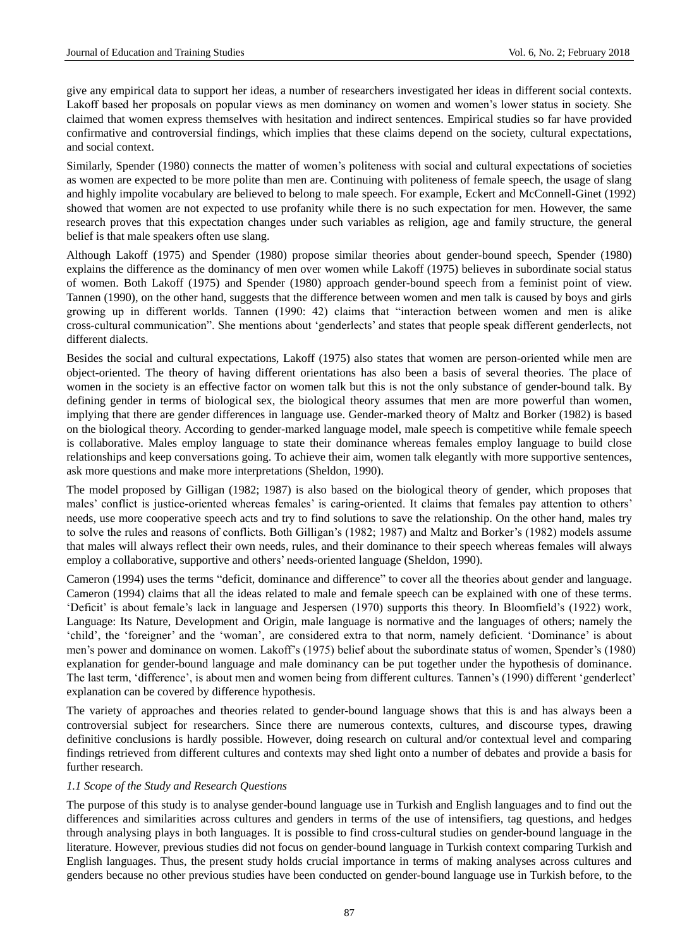give any empirical data to support her ideas, a number of researchers investigated her ideas in different social contexts. Lakoff based her proposals on popular views as men dominancy on women and women"s lower status in society. She claimed that women express themselves with hesitation and indirect sentences. Empirical studies so far have provided confirmative and controversial findings, which implies that these claims depend on the society, cultural expectations, and social context.

Similarly, Spender (1980) connects the matter of women"s politeness with social and cultural expectations of societies as women are expected to be more polite than men are. Continuing with politeness of female speech, the usage of slang and highly impolite vocabulary are believed to belong to male speech. For example, Eckert and McConnell-Ginet (1992) showed that women are not expected to use profanity while there is no such expectation for men. However, the same research proves that this expectation changes under such variables as religion, age and family structure, the general belief is that male speakers often use slang.

Although Lakoff (1975) and Spender (1980) propose similar theories about gender-bound speech, Spender (1980) explains the difference as the dominancy of men over women while Lakoff (1975) believes in subordinate social status of women. Both Lakoff (1975) and Spender (1980) approach gender-bound speech from a feminist point of view. Tannen (1990), on the other hand, suggests that the difference between women and men talk is caused by boys and girls growing up in different worlds. Tannen (1990: 42) claims that "interaction between women and men is alike cross-cultural communication". She mentions about "genderlects" and states that people speak different genderlects, not different dialects.

Besides the social and cultural expectations, Lakoff (1975) also states that women are person-oriented while men are object-oriented. The theory of having different orientations has also been a basis of several theories. The place of women in the society is an effective factor on women talk but this is not the only substance of gender-bound talk. By defining gender in terms of biological sex, the biological theory assumes that men are more powerful than women, implying that there are gender differences in language use. Gender-marked theory of Maltz and Borker (1982) is based on the biological theory. According to gender-marked language model, male speech is competitive while female speech is collaborative. Males employ language to state their dominance whereas females employ language to build close relationships and keep conversations going. To achieve their aim, women talk elegantly with more supportive sentences, ask more questions and make more interpretations (Sheldon, 1990).

The model proposed by Gilligan (1982; 1987) is also based on the biological theory of gender, which proposes that males' conflict is justice-oriented whereas females' is caring-oriented. It claims that females pay attention to others' needs, use more cooperative speech acts and try to find solutions to save the relationship. On the other hand, males try to solve the rules and reasons of conflicts. Both Gilligan"s (1982; 1987) and Maltz and Borker"s (1982) models assume that males will always reflect their own needs, rules, and their dominance to their speech whereas females will always employ a collaborative, supportive and others" needs-oriented language (Sheldon, 1990).

Cameron (1994) uses the terms "deficit, dominance and difference" to cover all the theories about gender and language. Cameron (1994) claims that all the ideas related to male and female speech can be explained with one of these terms. "Deficit" is about female"s lack in language and Jespersen (1970) supports this theory. In Bloomfield"s (1922) work, Language: Its Nature, Development and Origin, male language is normative and the languages of others; namely the "child", the "foreigner" and the "woman", are considered extra to that norm, namely deficient. "Dominance" is about men"s power and dominance on women. Lakoff"s (1975) belief about the subordinate status of women, Spender"s (1980) explanation for gender-bound language and male dominancy can be put together under the hypothesis of dominance. The last term, "difference", is about men and women being from different cultures. Tannen"s (1990) different "genderlect" explanation can be covered by difference hypothesis.

The variety of approaches and theories related to gender-bound language shows that this is and has always been a controversial subject for researchers. Since there are numerous contexts, cultures, and discourse types, drawing definitive conclusions is hardly possible. However, doing research on cultural and/or contextual level and comparing findings retrieved from different cultures and contexts may shed light onto a number of debates and provide a basis for further research.

#### *1.1 Scope of the Study and Research Questions*

The purpose of this study is to analyse gender-bound language use in Turkish and English languages and to find out the differences and similarities across cultures and genders in terms of the use of intensifiers, tag questions, and hedges through analysing plays in both languages. It is possible to find cross-cultural studies on gender-bound language in the literature. However, previous studies did not focus on gender-bound language in Turkish context comparing Turkish and English languages. Thus, the present study holds crucial importance in terms of making analyses across cultures and genders because no other previous studies have been conducted on gender-bound language use in Turkish before, to the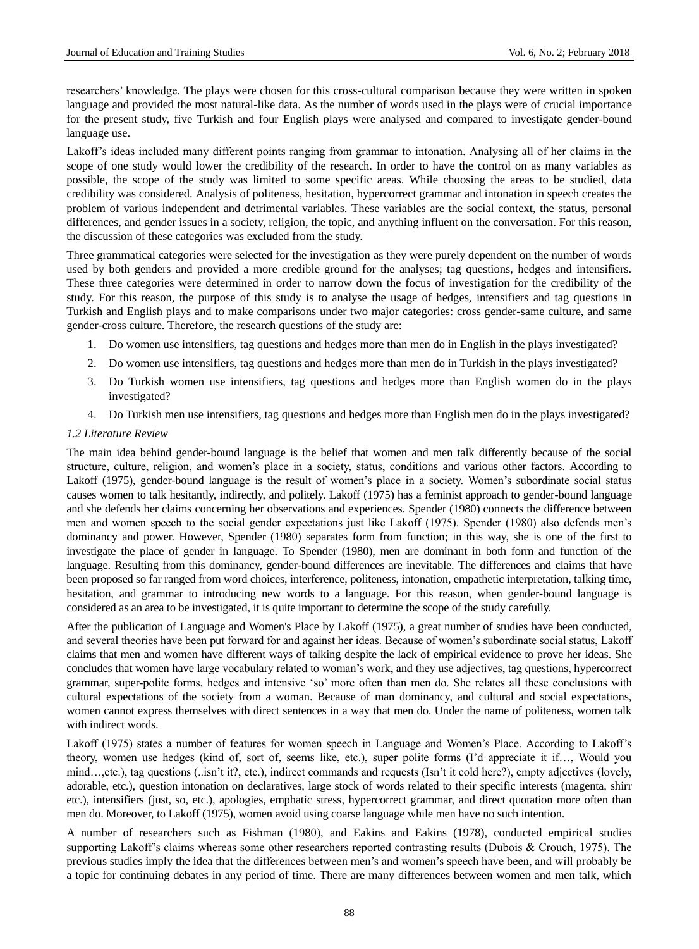researchers" knowledge. The plays were chosen for this cross-cultural comparison because they were written in spoken language and provided the most natural-like data. As the number of words used in the plays were of crucial importance for the present study, five Turkish and four English plays were analysed and compared to investigate gender-bound language use.

Lakoff"s ideas included many different points ranging from grammar to intonation. Analysing all of her claims in the scope of one study would lower the credibility of the research. In order to have the control on as many variables as possible, the scope of the study was limited to some specific areas. While choosing the areas to be studied, data credibility was considered. Analysis of politeness, hesitation, hypercorrect grammar and intonation in speech creates the problem of various independent and detrimental variables. These variables are the social context, the status, personal differences, and gender issues in a society, religion, the topic, and anything influent on the conversation. For this reason, the discussion of these categories was excluded from the study.

Three grammatical categories were selected for the investigation as they were purely dependent on the number of words used by both genders and provided a more credible ground for the analyses; tag questions, hedges and intensifiers. These three categories were determined in order to narrow down the focus of investigation for the credibility of the study. For this reason, the purpose of this study is to analyse the usage of hedges, intensifiers and tag questions in Turkish and English plays and to make comparisons under two major categories: cross gender-same culture, and same gender-cross culture. Therefore, the research questions of the study are:

- 1. Do women use intensifiers, tag questions and hedges more than men do in English in the plays investigated?
- 2. Do women use intensifiers, tag questions and hedges more than men do in Turkish in the plays investigated?
- 3. Do Turkish women use intensifiers, tag questions and hedges more than English women do in the plays investigated?
- 4. Do Turkish men use intensifiers, tag questions and hedges more than English men do in the plays investigated?

#### *1.2 Literature Review*

The main idea behind gender-bound language is the belief that women and men talk differently because of the social structure, culture, religion, and women"s place in a society, status, conditions and various other factors. According to Lakoff (1975), gender-bound language is the result of women's place in a society. Women's subordinate social status causes women to talk hesitantly, indirectly, and politely. Lakoff (1975) has a feminist approach to gender-bound language and she defends her claims concerning her observations and experiences. Spender (1980) connects the difference between men and women speech to the social gender expectations just like Lakoff (1975). Spender (1980) also defends men"s dominancy and power. However, Spender (1980) separates form from function; in this way, she is one of the first to investigate the place of gender in language. To Spender (1980), men are dominant in both form and function of the language. Resulting from this dominancy, gender-bound differences are inevitable. The differences and claims that have been proposed so far ranged from word choices, interference, politeness, intonation, empathetic interpretation, talking time, hesitation, and grammar to introducing new words to a language. For this reason, when gender-bound language is considered as an area to be investigated, it is quite important to determine the scope of the study carefully.

After the publication of Language and Women's Place by Lakoff (1975), a great number of studies have been conducted, and several theories have been put forward for and against her ideas. Because of women"s subordinate social status, Lakoff claims that men and women have different ways of talking despite the lack of empirical evidence to prove her ideas. She concludes that women have large vocabulary related to woman"s work, and they use adjectives, tag questions, hypercorrect grammar, super-polite forms, hedges and intensive "so" more often than men do. She relates all these conclusions with cultural expectations of the society from a woman. Because of man dominancy, and cultural and social expectations, women cannot express themselves with direct sentences in a way that men do. Under the name of politeness, women talk with indirect words.

Lakoff (1975) states a number of features for women speech in Language and Women's Place. According to Lakoff's theory, women use hedges (kind of, sort of, seems like, etc.), super polite forms (I"d appreciate it if…, Would you mind…,etc.), tag questions (..isn't it?, etc.), indirect commands and requests (Isn't it cold here?), empty adjectives (lovely, adorable, etc.), question intonation on declaratives, large stock of words related to their specific interests (magenta, shirr etc.), intensifiers (just, so, etc.), apologies, emphatic stress, hypercorrect grammar, and direct quotation more often than men do. Moreover, to Lakoff (1975), women avoid using coarse language while men have no such intention.

A number of researchers such as Fishman (1980), and Eakins and Eakins (1978), conducted empirical studies supporting Lakoff's claims whereas some other researchers reported contrasting results (Dubois & Crouch, 1975). The previous studies imply the idea that the differences between men"s and women"s speech have been, and will probably be a topic for continuing debates in any period of time. There are many differences between women and men talk, which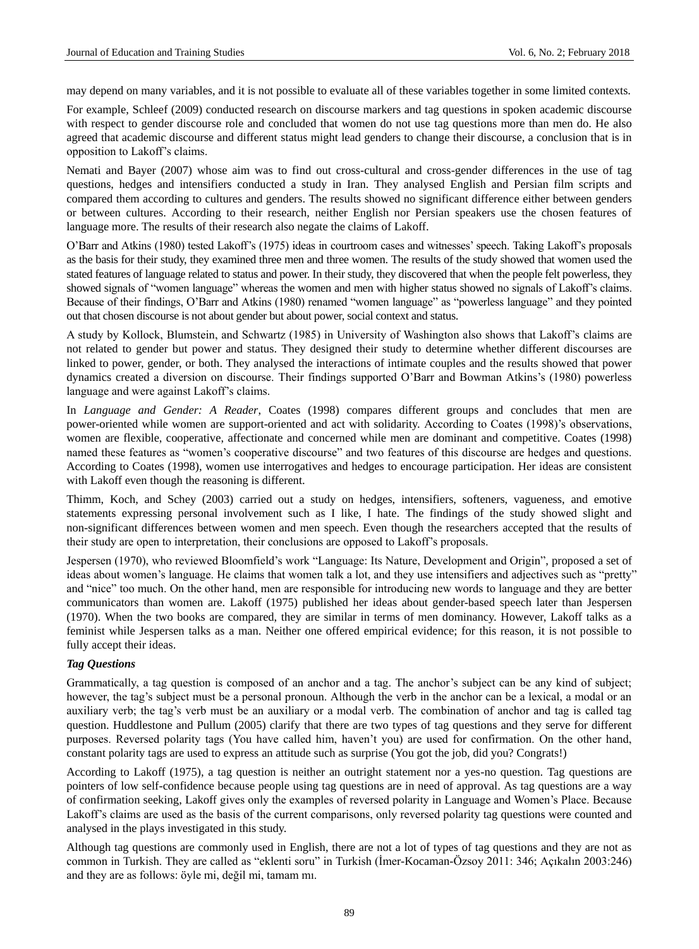may depend on many variables, and it is not possible to evaluate all of these variables together in some limited contexts.

For example, Schleef (2009) conducted research on discourse markers and tag questions in spoken academic discourse with respect to gender discourse role and concluded that women do not use tag questions more than men do. He also agreed that academic discourse and different status might lead genders to change their discourse, a conclusion that is in opposition to Lakoff"s claims.

Nemati and Bayer (2007) whose aim was to find out cross-cultural and cross-gender differences in the use of tag questions, hedges and intensifiers conducted a study in Iran. They analysed English and Persian film scripts and compared them according to cultures and genders. The results showed no significant difference either between genders or between cultures. According to their research, neither English nor Persian speakers use the chosen features of language more. The results of their research also negate the claims of Lakoff.

O"Barr and Atkins (1980) tested Lakoff"s (1975) ideas in courtroom cases and witnesses" speech. Taking Lakoff"s proposals as the basis for their study, they examined three men and three women. The results of the study showed that women used the stated features of language related to status and power. In their study, they discovered that when the people felt powerless, they showed signals of "women language" whereas the women and men with higher status showed no signals of Lakoff"s claims. Because of their findings, O"Barr and Atkins (1980) renamed "women language" as "powerless language" and they pointed out that chosen discourse is not about gender but about power, social context and status.

A study by Kollock, Blumstein, and Schwartz (1985) in University of Washington also shows that Lakoff"s claims are not related to gender but power and status. They designed their study to determine whether different discourses are linked to power, gender, or both. They analysed the interactions of intimate couples and the results showed that power dynamics created a diversion on discourse. Their findings supported O"Barr and Bowman Atkins"s (1980) powerless language and were against Lakoff"s claims.

In *Language and Gender: A Reader*, Coates (1998) compares different groups and concludes that men are power-oriented while women are support-oriented and act with solidarity. According to Coates (1998)"s observations, women are flexible, cooperative, affectionate and concerned while men are dominant and competitive. Coates (1998) named these features as "women"s cooperative discourse" and two features of this discourse are hedges and questions. According to Coates (1998), women use interrogatives and hedges to encourage participation. Her ideas are consistent with Lakoff even though the reasoning is different.

Thimm, Koch, and Schey (2003) carried out a study on hedges, intensifiers, softeners, vagueness, and emotive statements expressing personal involvement such as I like, I hate. The findings of the study showed slight and non-significant differences between women and men speech. Even though the researchers accepted that the results of their study are open to interpretation, their conclusions are opposed to Lakoff"s proposals.

Jespersen (1970), who reviewed Bloomfield"s work "Language: Its Nature, Development and Origin", proposed a set of ideas about women"s language. He claims that women talk a lot, and they use intensifiers and adjectives such as "pretty" and "nice" too much. On the other hand, men are responsible for introducing new words to language and they are better communicators than women are. Lakoff (1975) published her ideas about gender-based speech later than Jespersen (1970). When the two books are compared, they are similar in terms of men dominancy. However, Lakoff talks as a feminist while Jespersen talks as a man. Neither one offered empirical evidence; for this reason, it is not possible to fully accept their ideas.

## *Tag Questions*

Grammatically, a tag question is composed of an anchor and a tag. The anchor"s subject can be any kind of subject; however, the tag's subject must be a personal pronoun. Although the verb in the anchor can be a lexical, a modal or an auxiliary verb; the tag's verb must be an auxiliary or a modal verb. The combination of anchor and tag is called tag question. Huddlestone and Pullum (2005) clarify that there are two types of tag questions and they serve for different purposes. Reversed polarity tags (You have called him, haven"t you) are used for confirmation. On the other hand, constant polarity tags are used to express an attitude such as surprise (You got the job, did you? Congrats!)

According to Lakoff (1975), a tag question is neither an outright statement nor a yes-no question. Tag questions are pointers of low self-confidence because people using tag questions are in need of approval. As tag questions are a way of confirmation seeking, Lakoff gives only the examples of reversed polarity in Language and Women"s Place. Because Lakoff"s claims are used as the basis of the current comparisons, only reversed polarity tag questions were counted and analysed in the plays investigated in this study.

Although tag questions are commonly used in English, there are not a lot of types of tag questions and they are not as common in Turkish. They are called as "eklenti soru" in Turkish (İmer-Kocaman-Özsoy 2011: 346; Açıkalın 2003:246) and they are as follows: öyle mi, değil mi, tamam mı.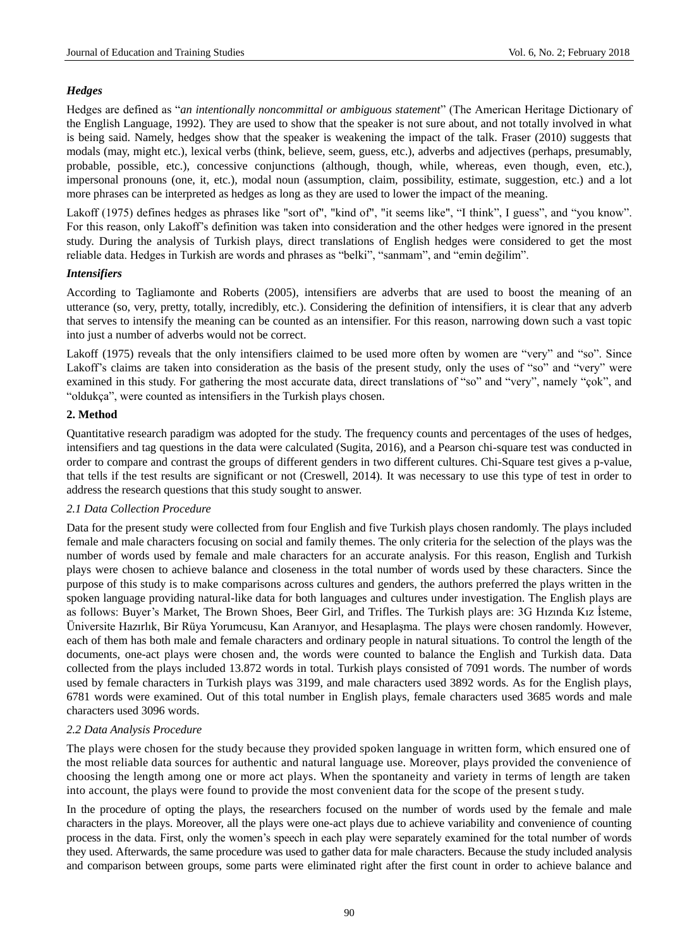## *Hedges*

Hedges are defined as "*an intentionally noncommittal or ambiguous statement*" (The American Heritage Dictionary of the English Language, 1992). They are used to show that the speaker is not sure about, and not totally involved in what is being said. Namely, hedges show that the speaker is weakening the impact of the talk. Fraser (2010) suggests that modals (may, might etc.), lexical verbs (think, believe, seem, guess, etc.), adverbs and adjectives (perhaps, presumably, probable, possible, etc.), concessive conjunctions (although, though, while, whereas, even though, even, etc.), impersonal pronouns (one, it, etc.), modal noun (assumption, claim, possibility, estimate, suggestion, etc.) and a lot more phrases can be interpreted as hedges as long as they are used to lower the impact of the meaning.

Lakoff (1975) defines hedges as phrases like "sort of", "kind of", "it seems like", "I think", I guess", and "you know". For this reason, only Lakoff"s definition was taken into consideration and the other hedges were ignored in the present study. During the analysis of Turkish plays, direct translations of English hedges were considered to get the most reliable data. Hedges in Turkish are words and phrases as "belki", "sanmam", and "emin değilim".

#### *Intensifiers*

According to Tagliamonte and Roberts (2005), intensifiers are adverbs that are used to boost the meaning of an utterance (so, very, pretty, totally, incredibly, etc.). Considering the definition of intensifiers, it is clear that any adverb that serves to intensify the meaning can be counted as an intensifier. For this reason, narrowing down such a vast topic into just a number of adverbs would not be correct.

Lakoff (1975) reveals that the only intensifiers claimed to be used more often by women are "very" and "so". Since Lakoff's claims are taken into consideration as the basis of the present study, only the uses of "so" and "very" were examined in this study. For gathering the most accurate data, direct translations of "so" and "very", namely "çok", and "oldukça", were counted as intensifiers in the Turkish plays chosen.

## **2. Method**

Quantitative research paradigm was adopted for the study. The frequency counts and percentages of the uses of hedges, intensifiers and tag questions in the data were calculated (Sugita, 2016), and a Pearson chi-square test was conducted in order to compare and contrast the groups of different genders in two different cultures. Chi-Square test gives a p-value, that tells if the test results are significant or not (Creswell, 2014). It was necessary to use this type of test in order to address the research questions that this study sought to answer.

## *2.1 Data Collection Procedure*

Data for the present study were collected from four English and five Turkish plays chosen randomly. The plays included female and male characters focusing on social and family themes. The only criteria for the selection of the plays was the number of words used by female and male characters for an accurate analysis. For this reason, English and Turkish plays were chosen to achieve balance and closeness in the total number of words used by these characters. Since the purpose of this study is to make comparisons across cultures and genders, the authors preferred the plays written in the spoken language providing natural-like data for both languages and cultures under investigation. The English plays are as follows: Buyer"s Market, The Brown Shoes, Beer Girl, and Trifles. The Turkish plays are: 3G Hızında Kız İsteme, Üniversite Hazırlık, Bir Rüya Yorumcusu, Kan Aranıyor, and Hesaplaşma. The plays were chosen randomly. However, each of them has both male and female characters and ordinary people in natural situations. To control the length of the documents, one-act plays were chosen and, the words were counted to balance the English and Turkish data. Data collected from the plays included 13.872 words in total. Turkish plays consisted of 7091 words. The number of words used by female characters in Turkish plays was 3199, and male characters used 3892 words. As for the English plays, 6781 words were examined. Out of this total number in English plays, female characters used 3685 words and male characters used 3096 words.

## *2.2 Data Analysis Procedure*

The plays were chosen for the study because they provided spoken language in written form, which ensured one of the most reliable data sources for authentic and natural language use. Moreover, plays provided the convenience of choosing the length among one or more act plays. When the spontaneity and variety in terms of length are taken into account, the plays were found to provide the most convenient data for the scope of the present study.

In the procedure of opting the plays, the researchers focused on the number of words used by the female and male characters in the plays. Moreover, all the plays were one-act plays due to achieve variability and convenience of counting process in the data. First, only the women"s speech in each play were separately examined for the total number of words they used. Afterwards, the same procedure was used to gather data for male characters. Because the study included analysis and comparison between groups, some parts were eliminated right after the first count in order to achieve balance and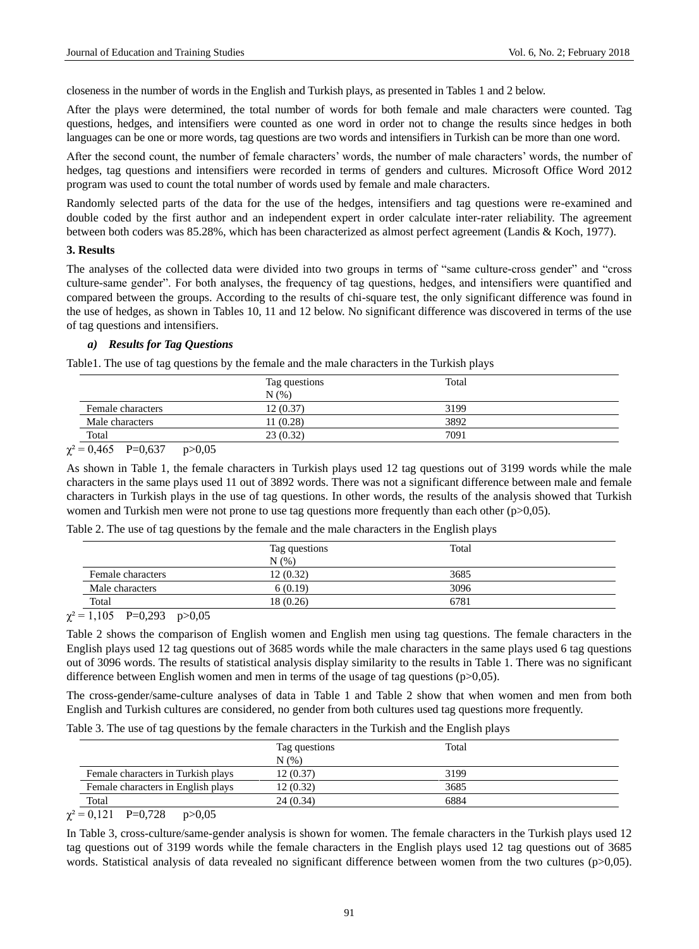closeness in the number of words in the English and Turkish plays, as presented in Tables 1 and 2 below.

After the plays were determined, the total number of words for both female and male characters were counted. Tag questions, hedges, and intensifiers were counted as one word in order not to change the results since hedges in both languages can be one or more words, tag questions are two words and intensifiers in Turkish can be more than one word.

After the second count, the number of female characters' words, the number of male characters' words, the number of hedges, tag questions and intensifiers were recorded in terms of genders and cultures. Microsoft Office Word 2012 program was used to count the total number of words used by female and male characters.

Randomly selected parts of the data for the use of the hedges, intensifiers and tag questions were re-examined and double coded by the first author and an independent expert in order calculate inter-rater reliability. The agreement between both coders was 85.28%, which has been characterized as almost perfect agreement (Landis & Koch, 1977).

#### **3. Results**

The analyses of the collected data were divided into two groups in terms of "same culture-cross gender" and "cross culture-same gender". For both analyses, the frequency of tag questions, hedges, and intensifiers were quantified and compared between the groups. According to the results of chi-square test, the only significant difference was found in the use of hedges, as shown in Tables 10, 11 and 12 below. No significant difference was discovered in terms of the use of tag questions and intensifiers.

## *a) Results for Tag Questions*

Table1. The use of tag questions by the female and the male characters in the Turkish plays

|                                                                                                                                                                 | Tag questions | Total |  |
|-----------------------------------------------------------------------------------------------------------------------------------------------------------------|---------------|-------|--|
|                                                                                                                                                                 | N(% )         |       |  |
| Female characters                                                                                                                                               | 12(0.37)      | 3199  |  |
| Male characters                                                                                                                                                 | 11 (0.28)     | 3892  |  |
| Total                                                                                                                                                           | 23(0.32)      | 7091  |  |
| the control of the control of the control of<br>the contract of the contract of the contract of the contract of the contract of the contract of the contract of |               |       |  |

 $\chi^2 = 0,465$  P=0,637 p>0,05

As shown in Table 1, the female characters in Turkish plays used 12 tag questions out of 3199 words while the male characters in the same plays used 11 out of 3892 words. There was not a significant difference between male and female characters in Turkish plays in the use of tag questions. In other words, the results of the analysis showed that Turkish women and Turkish men were not prone to use tag questions more frequently than each other (p>0,05).

|  |  |  |  | Table 2. The use of tag questions by the female and the male characters in the English plays |  |  |
|--|--|--|--|----------------------------------------------------------------------------------------------|--|--|
|  |  |  |  |                                                                                              |  |  |

|                   | Tag questions<br>$N(\%)$ | Total |  |
|-------------------|--------------------------|-------|--|
| Female characters | 12(0.32)                 | 3685  |  |
| Male characters   | 6(0.19)                  | 3096  |  |
| Total             | 18(0.26)                 | 6781  |  |

 $\chi^2 = 1,105$  P=0,293 p>0,05

Table 2 shows the comparison of English women and English men using tag questions. The female characters in the English plays used 12 tag questions out of 3685 words while the male characters in the same plays used 6 tag questions out of 3096 words. The results of statistical analysis display similarity to the results in Table 1. There was no significant difference between English women and men in terms of the usage of tag questions (p>0,05).

The cross-gender/same-culture analyses of data in Table 1 and Table 2 show that when women and men from both English and Turkish cultures are considered, no gender from both cultures used tag questions more frequently.

Table 3. The use of tag questions by the female characters in the Turkish and the English plays

|                                    | Tag questions<br>N(% | Total |  |
|------------------------------------|----------------------|-------|--|
| Female characters in Turkish plays | 12 (0.37)            | 3199  |  |
| Female characters in English plays | 12 (0.32)            | 3685  |  |
| Total                              | 24(0.34)             | 6884  |  |

 $\chi^2 = 0,121$  P=0,728 p>0,05

In Table 3, cross-culture/same-gender analysis is shown for women. The female characters in the Turkish plays used 12 tag questions out of 3199 words while the female characters in the English plays used 12 tag questions out of 3685 words. Statistical analysis of data revealed no significant difference between women from the two cultures (p>0,05).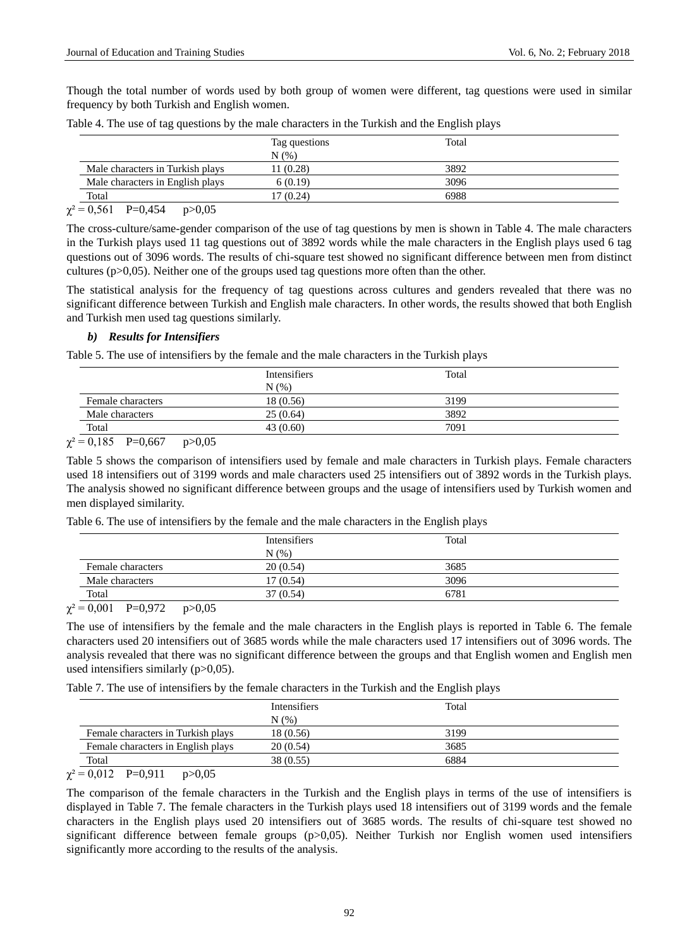Though the total number of words used by both group of women were different, tag questions were used in similar frequency by both Turkish and English women.

|                                  | Tag questions<br>N(% | Total |  |
|----------------------------------|----------------------|-------|--|
| Male characters in Turkish plays | 11(0.28)             | 3892  |  |
| Male characters in English plays | 6(0.19)              | 3096  |  |
| Total                            | 17 (0.24)            | 6988  |  |

Table 4. The use of tag questions by the male characters in the Turkish and the English plays

 $\chi^2 = 0,561$  P=0,454 p>0,05

The cross-culture/same-gender comparison of the use of tag questions by men is shown in Table 4. The male characters in the Turkish plays used 11 tag questions out of 3892 words while the male characters in the English plays used 6 tag questions out of 3096 words. The results of chi-square test showed no significant difference between men from distinct cultures ( $p>0,05$ ). Neither one of the groups used tag questions more often than the other.

The statistical analysis for the frequency of tag questions across cultures and genders revealed that there was no significant difference between Turkish and English male characters. In other words, the results showed that both English and Turkish men used tag questions similarly.

## *b) Results for Intensifiers*

Table 5. The use of intensifiers by the female and the male characters in the Turkish plays

|                   | Intensifiers | Total |  |
|-------------------|--------------|-------|--|
|                   | N(% )        |       |  |
| Female characters | 18 (0.56)    | 3199  |  |
| Male characters   | 25(0.64)     | 3892  |  |
| Total             | 43 (0.60)    | 7091  |  |

 $\chi^2 = 0.185$  P=0,667 p>0,05

Table 5 shows the comparison of intensifiers used by female and male characters in Turkish plays. Female characters used 18 intensifiers out of 3199 words and male characters used 25 intensifiers out of 3892 words in the Turkish plays. The analysis showed no significant difference between groups and the usage of intensifiers used by Turkish women and men displayed similarity.

|  |  |  |  |  |  |  |  |  | Table 6. The use of intensifiers by the female and the male characters in the English plays |  |  |  |  |
|--|--|--|--|--|--|--|--|--|---------------------------------------------------------------------------------------------|--|--|--|--|
|--|--|--|--|--|--|--|--|--|---------------------------------------------------------------------------------------------|--|--|--|--|

|                                                          | <b>Intensifiers</b> | Total |
|----------------------------------------------------------|---------------------|-------|
|                                                          | $N(\%)$             |       |
| Female characters                                        | 20(0.54)            | 3685  |
| Male characters                                          | 17(0.54)            | 3096  |
| Total                                                    | 37 (0.54)           | 6781  |
| 2.001<br>$P^{\circ}$ $Q^{\circ}$<br>$\sim$ $\sim$ $\sim$ |                     |       |

 $\chi^2 = 0,001$  P=0,972 p>0,05

The use of intensifiers by the female and the male characters in the English plays is reported in Table 6. The female characters used 20 intensifiers out of 3685 words while the male characters used 17 intensifiers out of 3096 words. The analysis revealed that there was no significant difference between the groups and that English women and English men used intensifiers similarly  $(p>0,05)$ .

Table 7. The use of intensifiers by the female characters in the Turkish and the English plays

|                                    | <b>Intensifiers</b><br>N(% | Total |  |
|------------------------------------|----------------------------|-------|--|
| Female characters in Turkish plays | 18 (0.56)                  | 3199  |  |
| Female characters in English plays | 20(0.54)                   | 3685  |  |
| Total                              | 38 (0.55)                  | 6884  |  |

 $\gamma^2 = 0.012$  P=0.911 p>0.05

The comparison of the female characters in the Turkish and the English plays in terms of the use of intensifiers is displayed in Table 7. The female characters in the Turkish plays used 18 intensifiers out of 3199 words and the female characters in the English plays used 20 intensifiers out of 3685 words. The results of chi-square test showed no significant difference between female groups (p>0,05). Neither Turkish nor English women used intensifiers significantly more according to the results of the analysis.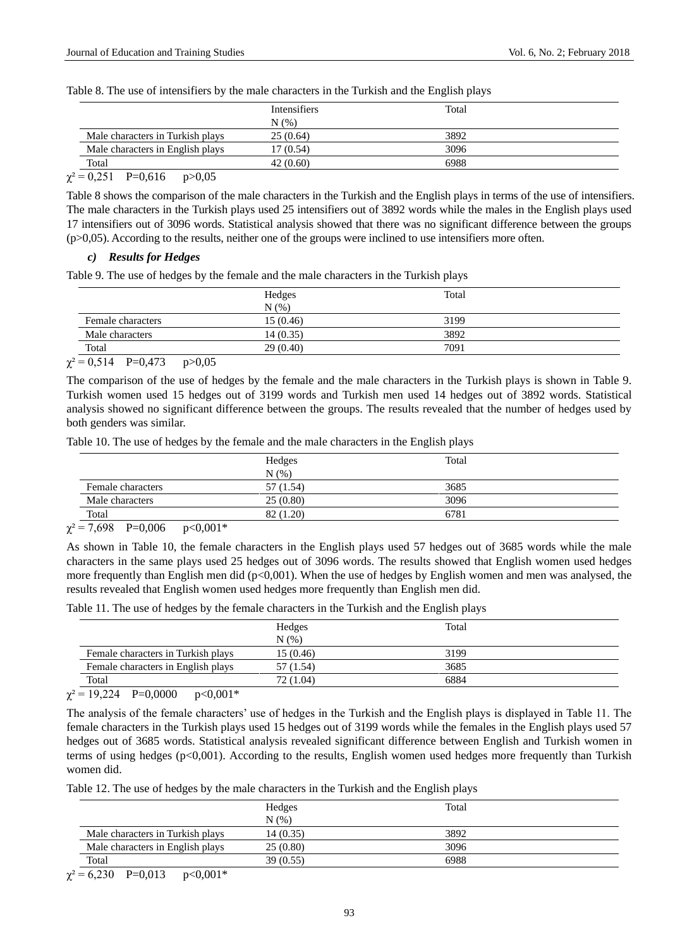|  | Table 8. The use of intensifiers by the male characters in the Turkish and the English plays |  |  |  |  |  |  |
|--|----------------------------------------------------------------------------------------------|--|--|--|--|--|--|
|  |                                                                                              |  |  |  |  |  |  |

|                                  | <b>Intensifiers</b> | Total |  |
|----------------------------------|---------------------|-------|--|
|                                  | N(% )               |       |  |
| Male characters in Turkish plays | 25(0.64)            | 3892  |  |
| Male characters in English plays | 17(0.54)            | 3096  |  |
| Total                            | 42(0.60)            | 6988  |  |
|                                  |                     |       |  |

 $\gamma^2 = 0.251$  P=0.616 p>0.05

Table 8 shows the comparison of the male characters in the Turkish and the English plays in terms of the use of intensifiers. The male characters in the Turkish plays used 25 intensifiers out of 3892 words while the males in the English plays used 17 intensifiers out of 3096 words. Statistical analysis showed that there was no significant difference between the groups  $(p>0,05)$ . According to the results, neither one of the groups were inclined to use intensifiers more often.

#### *c) Results for Hedges*

Table 9. The use of hedges by the female and the male characters in the Turkish plays

|                   | Hedges    | Total |  |
|-------------------|-----------|-------|--|
|                   | N(% )     |       |  |
| Female characters | 15(0.46)  | 3199  |  |
| Male characters   | 14 (0.35) | 3892  |  |
| Total             | 29(0.40)  | 7091  |  |

 $\chi^2 = 0.514$  P=0,473 p>0,05

The comparison of the use of hedges by the female and the male characters in the Turkish plays is shown in Table 9. Turkish women used 15 hedges out of 3199 words and Turkish men used 14 hedges out of 3892 words. Statistical analysis showed no significant difference between the groups. The results revealed that the number of hedges used by both genders was similar.

Table 10. The use of hedges by the female and the male characters in the English plays

| Hedges    | Total |  |
|-----------|-------|--|
| N(%)      |       |  |
| 57 (1.54) | 3685  |  |
| 25(0.80)  | 3096  |  |
| 82 (1.20) | 6781  |  |
|           |       |  |

 $\chi^2 = 7{,}698$  P=0,006 p<0,001\*

As shown in Table 10, the female characters in the English plays used 57 hedges out of 3685 words while the male characters in the same plays used 25 hedges out of 3096 words. The results showed that English women used hedges more frequently than English men did (p<0,001). When the use of hedges by English women and men was analysed, the results revealed that English women used hedges more frequently than English men did.

Table 11. The use of hedges by the female characters in the Turkish and the English plays

|                                    | Hedges    | Total |  |
|------------------------------------|-----------|-------|--|
|                                    | $N(\%)$   |       |  |
| Female characters in Turkish plays | 15(0.46)  | 3199  |  |
| Female characters in English plays | 57 (1.54) | 3685  |  |
| Total                              | 72 (1.04) | 6884  |  |
|                                    |           |       |  |

 $\chi^2 = 19,224$  P=0,0000 p<0,001\*

The analysis of the female characters' use of hedges in the Turkish and the English plays is displayed in Table 11. The female characters in the Turkish plays used 15 hedges out of 3199 words while the females in the English plays used 57 hedges out of 3685 words. Statistical analysis revealed significant difference between English and Turkish women in terms of using hedges (p<0,001). According to the results, English women used hedges more frequently than Turkish women did.

Table 12. The use of hedges by the male characters in the Turkish and the English plays

|                                  | Hedges<br>N(%) | Total |  |
|----------------------------------|----------------|-------|--|
| Male characters in Turkish plays | 14(0.35)       | 3892  |  |
| Male characters in English plays | 25(0.80)       | 3096  |  |
| Total                            | 39(0.55)       | 6988  |  |

 $\chi^2$  = 6,230 P=0,013 p<0,001\*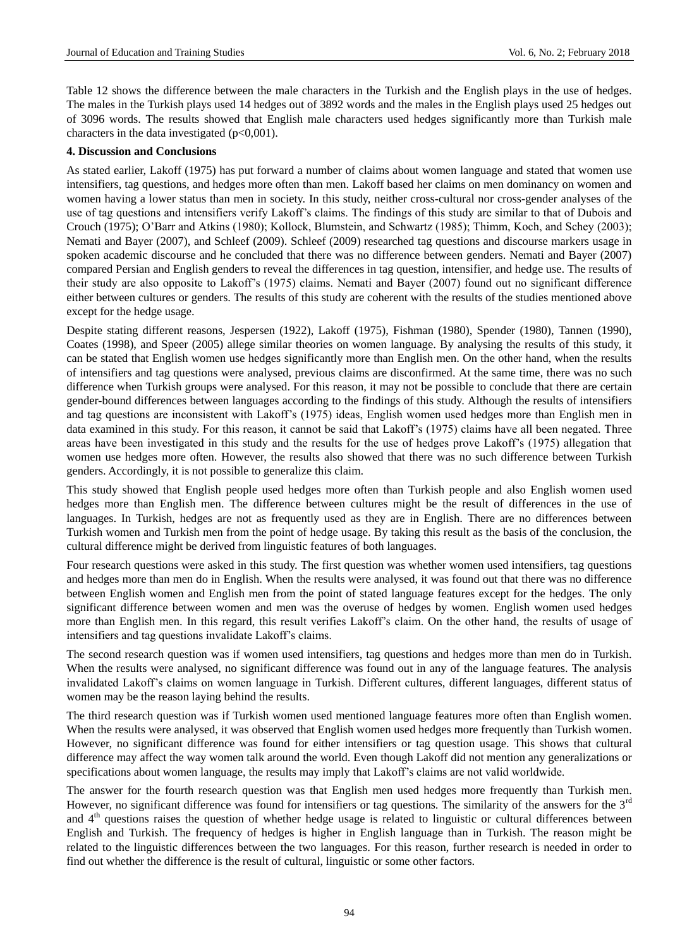Table 12 shows the difference between the male characters in the Turkish and the English plays in the use of hedges. The males in the Turkish plays used 14 hedges out of 3892 words and the males in the English plays used 25 hedges out of 3096 words. The results showed that English male characters used hedges significantly more than Turkish male characters in the data investigated  $(p<0,001)$ .

#### **4. Discussion and Conclusions**

As stated earlier, Lakoff (1975) has put forward a number of claims about women language and stated that women use intensifiers, tag questions, and hedges more often than men. Lakoff based her claims on men dominancy on women and women having a lower status than men in society. In this study, neither cross-cultural nor cross-gender analyses of the use of tag questions and intensifiers verify Lakoff"s claims. The findings of this study are similar to that of Dubois and Crouch (1975); O"Barr and Atkins (1980); Kollock, Blumstein, and Schwartz (1985); Thimm, Koch, and Schey (2003); Nemati and Bayer (2007), and Schleef (2009). Schleef (2009) researched tag questions and discourse markers usage in spoken academic discourse and he concluded that there was no difference between genders. Nemati and Bayer (2007) compared Persian and English genders to reveal the differences in tag question, intensifier, and hedge use. The results of their study are also opposite to Lakoff"s (1975) claims. Nemati and Bayer (2007) found out no significant difference either between cultures or genders. The results of this study are coherent with the results of the studies mentioned above except for the hedge usage.

Despite stating different reasons, Jespersen (1922), Lakoff (1975), Fishman (1980), Spender (1980), Tannen (1990), Coates (1998), and Speer (2005) allege similar theories on women language. By analysing the results of this study, it can be stated that English women use hedges significantly more than English men. On the other hand, when the results of intensifiers and tag questions were analysed, previous claims are disconfirmed. At the same time, there was no such difference when Turkish groups were analysed. For this reason, it may not be possible to conclude that there are certain gender-bound differences between languages according to the findings of this study. Although the results of intensifiers and tag questions are inconsistent with Lakoff"s (1975) ideas, English women used hedges more than English men in data examined in this study. For this reason, it cannot be said that Lakoff"s (1975) claims have all been negated. Three areas have been investigated in this study and the results for the use of hedges prove Lakoff"s (1975) allegation that women use hedges more often. However, the results also showed that there was no such difference between Turkish genders. Accordingly, it is not possible to generalize this claim.

This study showed that English people used hedges more often than Turkish people and also English women used hedges more than English men. The difference between cultures might be the result of differences in the use of languages. In Turkish, hedges are not as frequently used as they are in English. There are no differences between Turkish women and Turkish men from the point of hedge usage. By taking this result as the basis of the conclusion, the cultural difference might be derived from linguistic features of both languages.

Four research questions were asked in this study. The first question was whether women used intensifiers, tag questions and hedges more than men do in English. When the results were analysed, it was found out that there was no difference between English women and English men from the point of stated language features except for the hedges. The only significant difference between women and men was the overuse of hedges by women. English women used hedges more than English men. In this regard, this result verifies Lakoff"s claim. On the other hand, the results of usage of intensifiers and tag questions invalidate Lakoff"s claims.

The second research question was if women used intensifiers, tag questions and hedges more than men do in Turkish. When the results were analysed, no significant difference was found out in any of the language features. The analysis invalidated Lakoff"s claims on women language in Turkish. Different cultures, different languages, different status of women may be the reason laying behind the results.

The third research question was if Turkish women used mentioned language features more often than English women. When the results were analysed, it was observed that English women used hedges more frequently than Turkish women. However, no significant difference was found for either intensifiers or tag question usage. This shows that cultural difference may affect the way women talk around the world. Even though Lakoff did not mention any generalizations or specifications about women language, the results may imply that Lakoff"s claims are not valid worldwide.

The answer for the fourth research question was that English men used hedges more frequently than Turkish men. However, no significant difference was found for intensifiers or tag questions. The similarity of the answers for the  $3^{ru}$ and 4<sup>th</sup> questions raises the question of whether hedge usage is related to linguistic or cultural differences between English and Turkish. The frequency of hedges is higher in English language than in Turkish. The reason might be related to the linguistic differences between the two languages. For this reason, further research is needed in order to find out whether the difference is the result of cultural, linguistic or some other factors.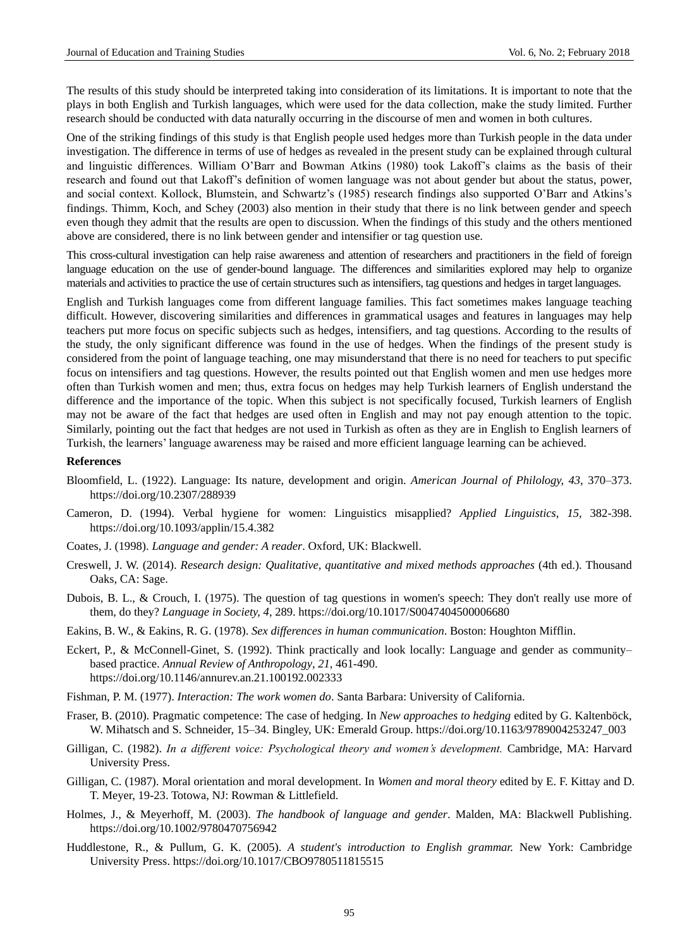The results of this study should be interpreted taking into consideration of its limitations. It is important to note that the plays in both English and Turkish languages, which were used for the data collection, make the study limited. Further research should be conducted with data naturally occurring in the discourse of men and women in both cultures.

One of the striking findings of this study is that English people used hedges more than Turkish people in the data under investigation. The difference in terms of use of hedges as revealed in the present study can be explained through cultural and linguistic differences. William O"Barr and Bowman Atkins (1980) took Lakoff"s claims as the basis of their research and found out that Lakoff"s definition of women language was not about gender but about the status, power, and social context. Kollock, Blumstein, and Schwartz's (1985) research findings also supported O'Barr and Atkins's findings. Thimm, Koch, and Schey (2003) also mention in their study that there is no link between gender and speech even though they admit that the results are open to discussion. When the findings of this study and the others mentioned above are considered, there is no link between gender and intensifier or tag question use.

This cross-cultural investigation can help raise awareness and attention of researchers and practitioners in the field of foreign language education on the use of gender-bound language. The differences and similarities explored may help to organize materials and activities to practice the use of certain structures such as intensifiers, tag questions and hedges in target languages.

English and Turkish languages come from different language families. This fact sometimes makes language teaching difficult. However, discovering similarities and differences in grammatical usages and features in languages may help teachers put more focus on specific subjects such as hedges, intensifiers, and tag questions. According to the results of the study, the only significant difference was found in the use of hedges. When the findings of the present study is considered from the point of language teaching, one may misunderstand that there is no need for teachers to put specific focus on intensifiers and tag questions. However, the results pointed out that English women and men use hedges more often than Turkish women and men; thus, extra focus on hedges may help Turkish learners of English understand the difference and the importance of the topic. When this subject is not specifically focused, Turkish learners of English may not be aware of the fact that hedges are used often in English and may not pay enough attention to the topic. Similarly, pointing out the fact that hedges are not used in Turkish as often as they are in English to English learners of Turkish, the learners" language awareness may be raised and more efficient language learning can be achieved.

#### **References**

- Bloomfield, L. (1922). Language: Its nature, development and origin. *American Journal of Philology, 43,* 370–373. <https://doi.org/10.2307/288939>
- Cameron, D. (1994). Verbal hygiene for women: Linguistics misapplied? *Applied Linguistics, 15,* 382-398. <https://doi.org/10.1093/applin/15.4.382>
- Coates, J. (1998). *Language and gender: A reader*. Oxford, UK: Blackwell.
- Creswell, J. W. (2014). *Research design: Qualitative, quantitative and mixed methods approaches* (4th ed.). Thousand Oaks, CA: Sage.
- Dubois, B. L., & Crouch, I. (1975). The question of tag questions in women's speech: They don't really use more of them, do they? *Language in Society, 4*, 289. <https://doi.org/10.1017/S0047404500006680>
- Eakins, B. W., & Eakins, R. G. (1978). *Sex differences in human communication*. Boston: Houghton Mifflin.
- Eckert, P., & McConnell-Ginet, S. (1992). Think practically and look locally: Language and gender as community– based practice. *Annual Review of Anthropology*, *21*, 461-490. <https://doi.org/10.1146/annurev.an.21.100192.002333>
- Fishman, P. M. (1977). *Interaction: The work women do*. Santa Barbara: University of California.
- Fraser, B. (2010). Pragmatic competence: The case of hedging. In *New approaches to hedging* edited by G. Kaltenböck, W. Mihatsch and S. Schneider, 15–34. Bingley, UK: Emerald Group[. https://doi.org/10.1163/9789004253247\\_003](https://doi.org/10.1163/9789004253247_003)
- Gilligan, C. (1982). *In a different voice: Psychological theory and women's development.* Cambridge, MA: Harvard University Press.
- Gilligan, C. (1987). Moral orientation and moral development. In *Women and moral theory* edited by E. F. Kittay and D. T. Meyer, 19-23. Totowa, NJ: Rowman & Littlefield.
- Holmes, J., & Meyerhoff, M. (2003). *The handbook of language and gender*. Malden, MA: Blackwell Publishing. <https://doi.org/10.1002/9780470756942>
- Huddlestone, R., & Pullum, G. K. (2005). *A student's introduction to English grammar.* New York: Cambridge University Press. <https://doi.org/10.1017/CBO9780511815515>